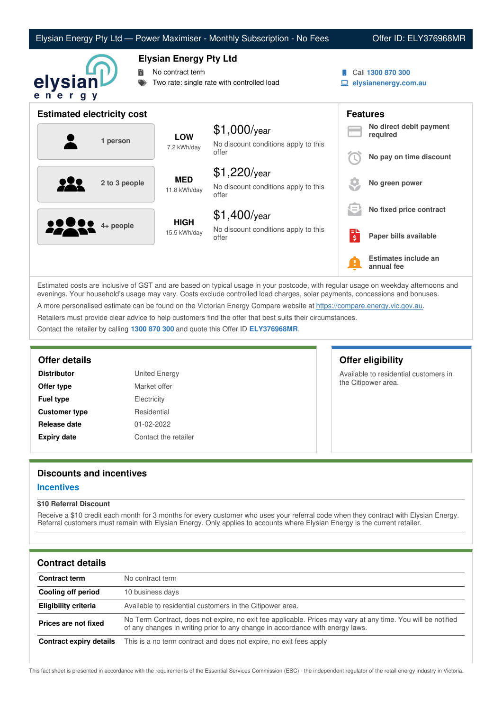|                                   |                                                                                                 | Elysian Energy Pty Ltd - Power Maximiser - Monthly Subscription - No Fees |            | Offer ID: ELY376968MR                     |
|-----------------------------------|-------------------------------------------------------------------------------------------------|---------------------------------------------------------------------------|------------|-------------------------------------------|
| 詩<br>elysian<br>ener<br>g y       | <b>Elysian Energy Pty Ltd</b><br>No contract term<br>Two rate: single rate with controlled load |                                                                           |            | Call 1300 870 300<br>elysianenergy.com.au |
| <b>Estimated electricity cost</b> |                                                                                                 |                                                                           |            | <b>Features</b>                           |
| 1 person                          | <b>LOW</b><br>7.2 kWh/day                                                                       | \$1,000/year<br>No discount conditions apply to this                      |            | No direct debit payment<br>required       |
|                                   |                                                                                                 | offer                                                                     |            | No pay on time discount                   |
| 2 to 3 people                     | <b>MED</b><br>11.8 kWh/day                                                                      | $$1,220$ /year<br>No discount conditions apply to this<br>offer           |            | No green power                            |
|                                   | <b>HIGH</b><br>15.5 kWh/day                                                                     | $$1,400$ /year                                                            |            | No fixed price contract                   |
| 4+ people                         |                                                                                                 | No discount conditions apply to this<br>offer                             | ∣=⊔<br>∫\$ | Paper bills available                     |
|                                   |                                                                                                 |                                                                           |            | Estimates include an<br>annual fee        |

Estimated costs are inclusive of GST and are based on typical usage in your postcode, with regular usage on weekday afternoons and evenings. Your household's usage may vary. Costs exclude controlled load charges, solar payments, concessions and bonuses. A more personalised estimate can be found on the Victorian Energy Compare website at <https://compare.energy.vic.gov.au>. Retailers must provide clear advice to help customers find the offer that best suits their circumstances.

Contact the retailer by calling **1300 870 300** and quote this Offer ID **ELY376968MR**.

# **Offer details Offer eligibility**

| <b>Distributor</b>   |  |
|----------------------|--|
| Offer type           |  |
| <b>Fuel type</b>     |  |
| <b>Customer type</b> |  |
| Release date         |  |
| <b>Expiry date</b>   |  |

**United Energy Market offer Electricity Residential Release date** 01-02-2022

**Contact the retailer** 

Available to residential customers in the Citipower area.

# **Discounts and incentives**

## **Incentives**

## **\$10 Referral Discount**

Receive a \$10 credit each month for 3 months for every customer who uses your referral code when they contract with Elysian Energy. Referral customers must remain with Elysian Energy. Only applies to accounts where Elysian Energy is the current retailer.

## **Contract details**

| <b>Contract term</b>    | No contract term                                                                                                                                                                              |
|-------------------------|-----------------------------------------------------------------------------------------------------------------------------------------------------------------------------------------------|
| Cooling off period      | 10 business days                                                                                                                                                                              |
| Eligibility criteria    | Available to residential customers in the Citipower area.                                                                                                                                     |
| Prices are not fixed    | No Term Contract, does not expire, no exit fee applicable. Prices may vary at any time. You will be notified<br>of any changes in writing prior to any change in accordance with energy laws. |
| Contract expiry details | This is a no term contract and does not expire, no exit fees apply                                                                                                                            |

This fact sheet is presented in accordance with the requirements of the Essential Services Commission (ESC) - the independent regulator of the retail energy industry in Victoria.